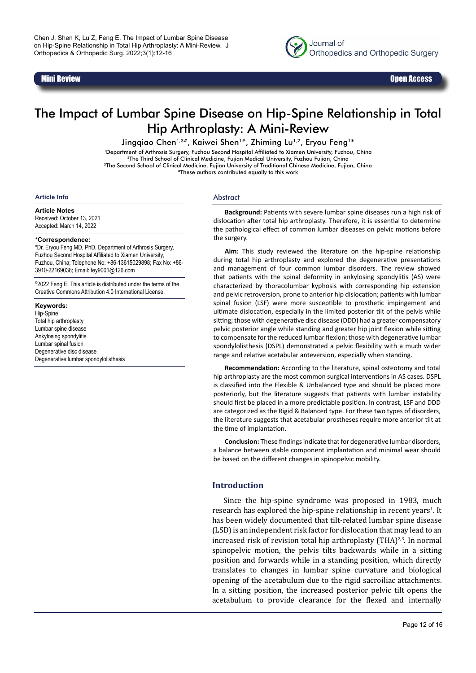

# Mini Review Open Access

# The Impact of Lumbar Spine Disease on Hip-Spine Relationship in Total Hip Arthroplasty: A Mini-Review

Jingqiao Chen<sup>1,3#</sup>, Kaiwei Shen<sup>1#</sup>, Zhiming Lu<sup>1,2</sup>, Eryou Feng<sup>1\*</sup>

1Department of Arthrosis Surgery, Fuzhou Second Hospital Affiliated to Xiamen University, Fuzhou, China <sup>2</sup>The Third School of Clinical Medicine, Fujian Medical University, Fuzhou Fujian, China 3The Second School of Clinical Medicine, Fujian University of Traditional Chinese Medicine, Fujian, China #These authors contributed equally to this work

#### **Article Info**

**Article Notes** Received: October 13, 2021 Accepted: March 14, 2022

#### **\*Correspondence:**

\*Dr. Eryou Feng MD, PhD, Department of Arthrosis Surgery, Fuzhou Second Hospital Affiliated to Xiamen University, Fuzhou, China; Telephone No: +86-13615029898; Fax No: +86- 3910-22169038; Email: fey9001@126.com

©2022 Feng E. This article is distributed under the terms of the Creative Commons Attribution 4.0 International License.

**Keywords:** Hip-Spine Total hip arthroplasty Lumbar spine disease Ankylosing spondylitis Lumbar spinal fusion Degenerative disc disease Degenerative lumbar spondylolisthesis

#### Abstract

**Background:** Patients with severe lumbar spine diseases run a high risk of dislocation after total hip arthroplasty. Therefore, it is essential to determine the pathological effect of common lumbar diseases on pelvic motions before the surgery.

**Aim:** This study reviewed the literature on the hip-spine relationship during total hip arthroplasty and explored the degenerative presentations and management of four common lumbar disorders. The review showed that patients with the spinal deformity in ankylosing spondylitis (AS) were characterized by thoracolumbar kyphosis with corresponding hip extension and pelvic retroversion, prone to anterior hip dislocation; patients with lumbar spinal fusion (LSF) were more susceptible to prosthetic impingement and ultimate dislocation, especially in the limited posterior tilt of the pelvis while sitting; those with degenerative disc disease (DDD) had a greater compensatory pelvic posterior angle while standing and greater hip joint flexion while sitting to compensate for the reduced lumbar flexion; those with degenerative lumbar spondylolisthesis (DSPL) demonstrated a pelvic flexibility with a much wider range and relative acetabular anteversion, especially when standing.

**Recommendation:** According to the literature, spinal osteotomy and total hip arthroplasty are the most common surgical interventions in AS cases. DSPL is classified into the Flexible & Unbalanced type and should be placed more posteriorly, but the literature suggests that patients with lumbar instability should first be placed in a more predictable position. In contrast, LSF and DDD are categorized as the Rigid & Balanced type. For these two types of disorders, the literature suggests that acetabular prostheses require more anterior tilt at the time of implantation.

**Conclusion:** These findings indicate that for degenerative lumbar disorders, a balance between stable component implantation and minimal wear should be based on the different changes in spinopelvic mobility.

# **Introduction**

Since the hip-spine syndrome was proposed in 1983, much research has explored the hip-spine relationship in recent years<sup>1</sup>. It has been widely documented that tilt-related lumbar spine disease (LSD) is an independent risk factor for dislocation that may lead to an increased risk of revision total hip arthroplasty  $(THA)^{2,3}$ . In normal spinopelvic motion, the pelvis tilts backwards while in a sitting position and forwards while in a standing position, which directly translates to changes in lumbar spine curvature and biological opening of the acetabulum due to the rigid sacroiliac attachments. In a sitting position, the increased posterior pelvic tilt opens the acetabulum to provide clearance for the flexed and internally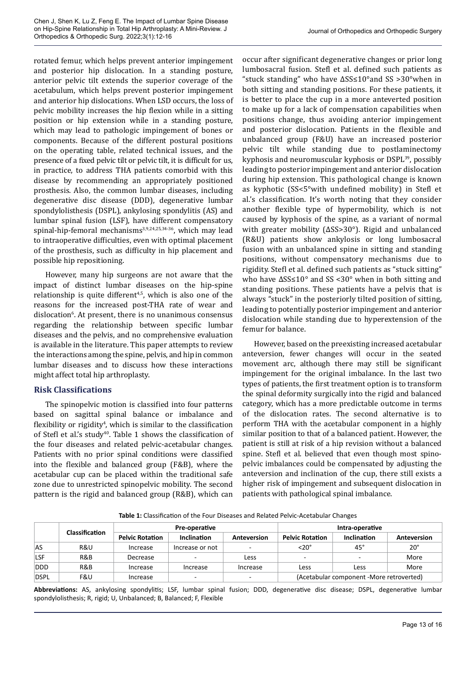rotated femur, which helps prevent anterior impingement and posterior hip dislocation. In a standing posture, anterior pelvic tilt extends the superior coverage of the acetabulum, which helps prevent posterior impingement and anterior hip dislocations. When LSD occurs, the loss of pelvic mobility increases the hip flexion while in a sitting position or hip extension while in a standing posture, which may lead to pathologic impingement of bones or components. Because of the different postural positions on the operating table, related technical issues, and the presence of a fixed pelvic tilt or pelvic tilt, it is difficult for us, in practice, to address THA patients comorbid with this disease by recommending an appropriately positioned prosthesis. Also, the common lumbar diseases, including degenerative disc disease (DDD), degenerative lumbar spondylolisthesis (DSPL), ankylosing spondylitis (AS) and lumbar spinal fusion (LSF), have different compensatory spinal-hip-femoral mechanisms<sup>3,9,24,25,34-36</sup>, which may lead to intraoperative difficulties, even with optimal placement of the prosthesis, such as difficulty in hip placement and possible hip repositioning.

However, many hip surgeons are not aware that the impact of distinct lumbar diseases on the hip-spine relationship is quite different<sup> $4,5$ </sup>, which is also one of the reasons for the increased post-THA rate of wear and dislocation<sup>6</sup>. At present, there is no unanimous consensus regarding the relationship between specific lumbar diseases and the pelvis, and no comprehensive evaluation is available in the literature. This paper attempts to review the interactions among the spine, pelvis, and hip in common lumbar diseases and to discuss how these interactions might affect total hip arthroplasty.

# **Risk Classifications**

The spinopelvic motion is classified into four patterns based on sagittal spinal balance or imbalance and flexibility or rigidity $\pmb{\text{^4}}$ , which is similar to the classification of Stefl et al.'s study<sup>40</sup>. Table 1 shows the classification of the four diseases and related pelvic-acetabular changes. Patients with no prior spinal conditions were classified into the flexible and balanced group (F&B), where the acetabular cup can be placed within the traditional safe zone due to unrestricted spinopelvic mobility. The second pattern is the rigid and balanced group (R&B), which can

occur after significant degenerative changes or prior long lumbosacral fusion. Stefl et al. defined such patients as "stuck standing" who have ∆SS≤10°and SS >30°when in both sitting and standing positions. For these patients, it is better to place the cup in a more anteverted position to make up for a lack of compensation capabilities when positions change, thus avoiding anterior impingement and posterior dislocation. Patients in the flexible and unbalanced group (F&U) have an increased posterior pelvic tilt while standing due to postlaminectomy kyphosis and neuromuscular kyphosis or DSPL<sup>39</sup>, possibly leading to posterior impingement and anterior dislocation during hip extension. This pathological change is known as kyphotic (SS<5°with undefined mobility) in Stefl et al.'s classification. It's worth noting that they consider another flexible type of hypermobility, which is not caused by kyphosis of the spine, as a variant of normal with greater mobility (∆SS>30°). Rigid and unbalanced (R&U) patients show ankylosis or long lumbosacral fusion with an unbalanced spine in sitting and standing positions, without compensatory mechanisms due to rigidity. Stefl et al. defined such patients as "stuck sitting" who have ∆SS≤10° and SS <30° when in both sitting and standing positions. These patients have a pelvis that is always "stuck" in the posteriorly tilted position of sitting, leading to potentially posterior impingement and anterior dislocation while standing due to hyperextension of the femur for balance.

However, based on the preexisting increased acetabular anteversion, fewer changes will occur in the seated movement arc, although there may still be significant impingement for the original imbalance. In the last two types of patients, the first treatment option is to transform the spinal deformity surgically into the rigid and balanced category, which has a more predictable outcome in terms of the dislocation rates. The second alternative is to perform THA with the acetabular component in a highly similar position to that of a balanced patient. However, the patient is still at risk of a hip revision without a balanced spine. Stefl et al. believed that even though most spinopelvic imbalances could be compensated by adjusting the anteversion and inclination of the cup, there still exists a higher risk of impingement and subsequent dislocation in patients with pathological spinal imbalance.

**Table 1:** Classification of the Four Diseases and Related Pelvic-Acetabular Changes

|             | <b>Classification</b> | Pre-operative          |                          |                          | Intra-operative        |                                          |              |
|-------------|-----------------------|------------------------|--------------------------|--------------------------|------------------------|------------------------------------------|--------------|
|             |                       | <b>Pelvic Rotation</b> | Inclination              | Anteversion              | <b>Pelvic Rotation</b> | Inclination                              | Anteversion  |
| <b>AS</b>   | R&U                   | Increase               | Increase or not          | $\overline{\phantom{0}}$ | $<$ 20 $^{\circ}$      | $45^{\circ}$                             | $20^{\circ}$ |
| <b>LSF</b>  | R&B                   | Decrease               |                          | Less                     | <b>.</b>               |                                          | More         |
| <b>DDD</b>  | R&B                   | Increase               | Increase                 | Increase                 | Less                   | Less                                     | More         |
| <b>DSPL</b> | F&U                   | Increase               | $\overline{\phantom{0}}$ | -                        |                        | (Acetabular component -More retroverted) |              |

**Abbreviations:** AS, ankylosing spondylitis; LSF, lumbar spinal fusion; DDD, degenerative disc disease; DSPL, degenerative lumbar spondylolisthesis; R, rigid; U, Unbalanced; B, Balanced; F, Flexible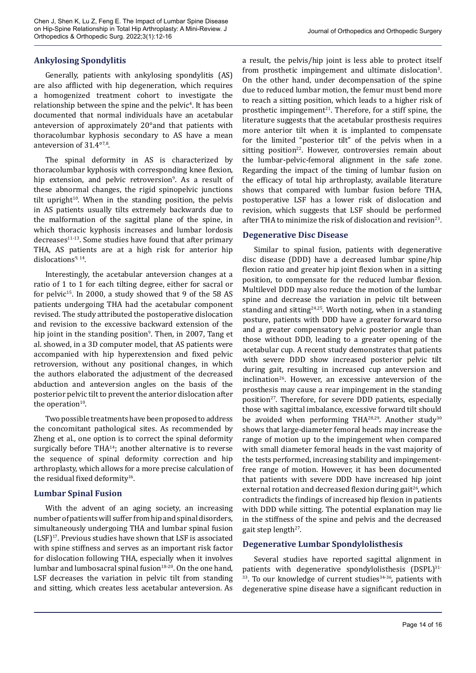# **Ankylosing Spondylitis**

Generally, patients with ankylosing spondylitis (AS) are also afflicted with hip degeneration, which requires a homogenized treatment cohort to investigate the relationship between the spine and the pelvic<sup>4</sup>. It has been documented that normal individuals have an acetabular anteversion of approximately 20°and that patients with thoracolumbar kyphosis secondary to AS have a mean anteversion of 31.4°7,8.

The spinal deformity in AS is characterized by thoracolumbar kyphosis with corresponding knee flexion, hip extension, and pelvic retroversion<sup>9</sup>. As a result of these abnormal changes, the rigid spinopelvic junctions tilt upright $10$ . When in the standing position, the pelvis in AS patients usually tilts extremely backwards due to the malformation of the sagittal plane of the spine, in which thoracic kyphosis increases and lumbar lordosis decreases<sup>11-13</sup>. Some studies have found that after primary THA, AS patients are at a high risk for anterior hip dislocations $9,14$ .

Interestingly, the acetabular anteversion changes at a ratio of 1 to 1 for each tilting degree, either for sacral or for pelvic<sup>15</sup>. In 2000, a study showed that 9 of the 58 AS patients undergoing THA had the acetabular component revised. The study attributed the postoperative dislocation and revision to the excessive backward extension of the hip joint in the standing position<sup>9</sup>. Then, in 2007, Tang et al. showed, in a 3D computer model, that AS patients were accompanied with hip hyperextension and fixed pelvic retroversion, without any positional changes, in which the authors elaborated the adjustment of the decreased abduction and anteversion angles on the basis of the posterior pelvic tilt to prevent the anterior dislocation after the operation<sup>10</sup>.

Two possible treatments have been proposed to address the concomitant pathological sites. As recommended by Zheng et al., one option is to correct the spinal deformity surgically before TH $A^{14}$ ; another alternative is to reverse the sequence of spinal deformity correction and hip arthroplasty, which allows for a more precise calculation of the residual fixed deformity<sup>16</sup>.

# **Lumbar Spinal Fusion**

With the advent of an aging society, an increasing number of patients will suffer from hip and spinal disorders, simultaneously undergoing THA and lumbar spinal fusion  $(LSF)^{17}$ . Previous studies have shown that LSF is associated with spine stiffness and serves as an important risk factor for dislocation following THA, especially when it involves lumbar and lumbosacral spinal fusion<sup>18-20</sup>. On the one hand, LSF decreases the variation in pelvic tilt from standing and sitting, which creates less acetabular anteversion. As

a result, the pelvis/hip joint is less able to protect itself from prosthetic impingement and ultimate dislocation<sup>3</sup>. On the other hand, under decompensation of the spine due to reduced lumbar motion, the femur must bend more to reach a sitting position, which leads to a higher risk of prosthetic impingement<sup>21</sup>. Therefore, for a stiff spine, the literature suggests that the acetabular prosthesis requires more anterior tilt when it is implanted to compensate for the limited "posterior tilt" of the pelvis when in a sitting position<sup>22</sup>. However, controversies remain about the lumbar-pelvic-femoral alignment in the safe zone. Regarding the impact of the timing of lumbar fusion on the efficacy of total hip arthroplasty, available literature shows that compared with lumbar fusion before THA, postoperative LSF has a lower risk of dislocation and revision, which suggests that LSF should be performed after THA to minimize the risk of dislocation and revision<sup>23</sup>.

#### **Degenerative Disc Disease**

Similar to spinal fusion, patients with degenerative disc disease (DDD) have a decreased lumbar spine/hip flexion ratio and greater hip joint flexion when in a sitting position, to compensate for the reduced lumbar flexion. Multilevel DDD may also reduce the motion of the lumbar spine and decrease the variation in pelvic tilt between standing and sitting<sup>24,25</sup>. Worth noting, when in a standing posture, patients with DDD have a greater forward torso and a greater compensatory pelvic posterior angle than those without DDD, leading to a greater opening of the acetabular cup. A recent study demonstrates that patients with severe DDD show increased posterior pelvic tilt during gait, resulting in increased cup anteversion and inclination<sup>26</sup>. However, an excessive anteversion of the prosthesis may cause a rear impingement in the standing position<sup>27</sup>. Therefore, for severe DDD patients, especially those with sagittal imbalance, excessive forward tilt should be avoided when performing THA $^{28,29}$ . Another study<sup>30</sup> shows that large-diameter femoral heads may increase the range of motion up to the impingement when compared with small diameter femoral heads in the vast majority of the tests performed, increasing stability and impingementfree range of motion. However, it has been documented that patients with severe DDD have increased hip joint external rotation and decreased flexion during gait<sup>26</sup>, which contradicts the findings of increased hip flexion in patients with DDD while sitting. The potential explanation may lie in the stiffness of the spine and pelvis and the decreased gait step length $27$ .

# **Degenerative Lumbar Spondylolisthesis**

Several studies have reported sagittal alignment in patients with degenerative spondylolisthesis (DSPL)<sup>31-</sup> 33. To our knowledge of current studies<sup>34-36</sup>, patients with degenerative spine disease have a significant reduction in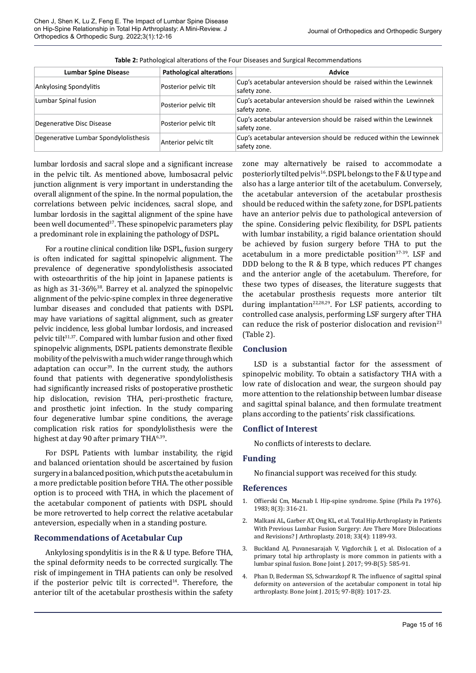| <b>Lumbar Spine Disease</b>           | Pathological alterations | Advice                                                                             |
|---------------------------------------|--------------------------|------------------------------------------------------------------------------------|
| <b>Ankylosing Spondylitis</b>         | Posterior pelvic tilt    | Cup's acetabular anteversion should be raised within the Lewinnek<br>safety zone.  |
| Lumbar Spinal fusion                  | Posterior pelvic tilt    | Cup's acetabular anteversion should be raised within the Lewinnek<br>safety zone.  |
| Degenerative Disc Disease             | Posterior pelvic tilt    | Cup's acetabular anteversion should be raised within the Lewinnek<br>safety zone.  |
| Degenerative Lumbar Spondylolisthesis | Anterior pelvic tilt     | Cup's acetabular anteversion should be reduced within the Lewinnek<br>safety zone. |

**Table 2:** Pathological alterations of the Four Diseases and Surgical Recommendations

lumbar lordosis and sacral slope and a significant increase in the pelvic tilt. As mentioned above, lumbosacral pelvic junction alignment is very important in understanding the overall alignment of the spine. In the normal population, the correlations between pelvic incidences, sacral slope, and lumbar lordosis in the sagittal alignment of the spine have been well documented<sup>37</sup>. These spinopelvic parameters play a predominant role in explaining the pathology of DSPL.

For a routine clinical condition like DSPL, fusion surgery is often indicated for sagittal spinopelvic alignment. The prevalence of degenerative spondylolisthesis associated with osteoarthritis of the hip joint in Japanese patients is as high as 31-36%<sup>38</sup>. Barrey et al. analyzed the spinopelvic alignment of the pelvic-spine complex in three degenerative lumbar diseases and concluded that patients with DSPL may have variations of sagittal alignment, such as greater pelvic incidence, less global lumbar lordosis, and increased pelvic tilt $31,37$ . Compared with lumbar fusion and other fixed spinopelvic alignments, DSPL patients demonstrate flexible mobility of the pelvis with a much wider range through which adaptation can occur<sup>39</sup>. In the current study, the authors found that patients with degenerative spondylolisthesis had significantly increased risks of postoperative prosthetic hip dislocation, revision THA, peri-prosthetic fracture, and prosthetic joint infection. In the study comparing four degenerative lumbar spine conditions, the average complication risk ratios for spondylolisthesis were the highest at day 90 after primary THA<sup>6,39</sup>.

For DSPL Patients with lumbar instability, the rigid and balanced orientation should be ascertained by fusion surgery in a balanced position, which puts the acetabulum in a more predictable position before THA. The other possible option is to proceed with THA, in which the placement of the acetabular component of patients with DSPL should be more retroverted to help correct the relative acetabular anteversion, especially when in a standing posture.

# **Recommendations of Acetabular Cup**

Ankylosing spondylitis is in the R & U type. Before THA, the spinal deformity needs to be corrected surgically. The risk of impingement in THA patients can only be resolved if the posterior pelvic tilt is corrected<sup>14</sup>. Therefore, the anterior tilt of the acetabular prosthesis within the safety zone may alternatively be raised to accommodate a posteriorly tilted pelvis<sup>16</sup>. DSPL belongs to the F & U type and also has a large anterior tilt of the acetabulum. Conversely, the acetabular anteversion of the acetabular prosthesis should be reduced within the safety zone, for DSPL patients have an anterior pelvis due to pathological anteversion of the spine. Considering pelvic flexibility, for DSPL patients with lumbar instability, a rigid balance orientation should be achieved by fusion surgery before THA to put the acetabulum in a more predictable position $37-39$ . LSF and DDD belong to the R & B type, which reduces PT changes and the anterior angle of the acetabulum. Therefore, for these two types of diseases, the literature suggests that the acetabular prosthesis requests more anterior tilt during implantation<sup>22,28,29</sup>. For LSF patients, according to controlled case analysis, performing LSF surgery after THA can reduce the risk of posterior dislocation and revision $23$ (Table 2).

# **Conclusion**

LSD is a substantial factor for the assessment of spinopelvic mobility. To obtain a satisfactory THA with a low rate of dislocation and wear, the surgeon should pay more attention to the relationship between lumbar disease and sagittal spinal balance, and then formulate treatment plans according to the patients' risk classifications.

# **Conflict of Interest**

No conflicts of interests to declare.

# **Funding**

No financial support was received for this study.

# **References**

- 1. Offierski Cm, Macnab I. Hip-spine syndrome. Spine (Phila Pa 1976). 1983; 8(3): 316-21.
- 2. Malkani AL, Garber AT, Ong KL, et al. Total Hip Arthroplasty in Patients With Previous Lumbar Fusion Surgery: Are There More Dislocations and Revisions? J Arthroplasty. 2018; 33(4): 1189-93.
- 3. Buckland AJ, Puvanesarajah V, Vigdorchik J, et al. Dislocation of a primary total hip arthroplasty is more common in patients with a lumbar spinal fusion. Bone Joint J. 2017; 99-B(5): 585-91.
- 4. Phan D, Bederman SS, Schwarzkopf R. The influence of sagittal spinal deformity on anteversion of the acetabular component in total hip arthroplasty. Bone Joint J. 2015; 97-B(8): 1017-23.